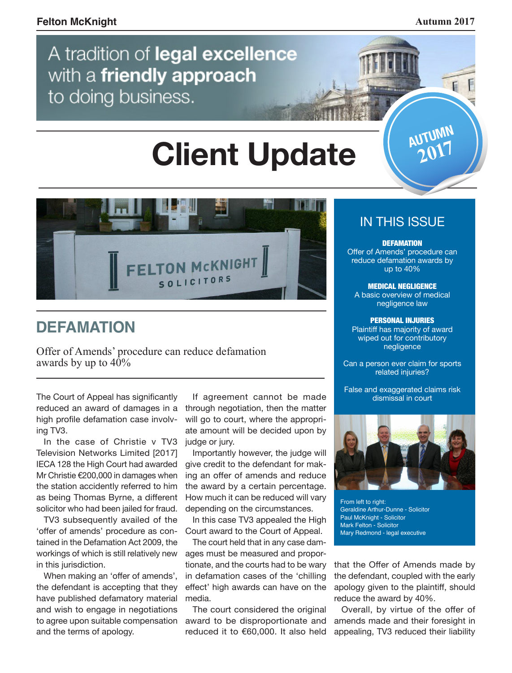$\mathbf{F}$ 

**AUTUMN 2017**

# A tradition of legal excellence with a friendly approach to doing business.

# **Client Update**



# **DEFAMATION**

Offer of Amends' procedure can reduce defamation awards by up to  $40\%$ 

reduced an award of damages in a high profile defamation case involving TV3.

In the case of Christie v TV3 Television Networks Limited [2017] IECA 128 the High Court had awarded Mr Christie €200,000 in damages when the station accidently referred to him as being Thomas Byrne, a different solicitor who had been jailed for fraud.

TV3 subsequently availed of the 'offer of amends' procedure as contained in the Defamation Act 2009, the workings of which is still relatively new in this jurisdiction.

When making an 'offer of amends', the defendant is accepting that they have published defamatory material and wish to engage in negotiations to agree upon suitable compensation and the terms of apology.

If agreement cannot be made through negotiation, then the matter will go to court, where the appropriate amount will be decided upon by judge or jury.

Importantly however, the judge will give credit to the defendant for making an offer of amends and reduce the award by a certain percentage. How much it can be reduced will vary depending on the circumstances.

In this case TV3 appealed the High Court award to the Court of Appeal.

The court held that in any case damages must be measured and proportionate, and the courts had to be wary in defamation cases of the 'chilling effect' high awards can have on the media.

The court considered the original award to be disproportionate and reduced it to €60,000. It also held

#### IN THIS ISSUE

**DEFAMATION** 

Offer of Amends' procedure can reduce defamation awards by up to 40%

MEDICAL NEGLIGENCE A basic overview of medical

negligence law PERSONAL INJURIES

Plaintiff has majority of award wiped out for contributory negligence

Can a person ever claim for sports related injuries?

False and exaggerated claims risk<br>The Court of Appeal has significantly dismissal in court of Appeal has significantly dismissal in court



From left to right: Geraldine Arthur-Dunne - Solicitor Paul McKnight - Solicitor Mark Felton - Solicitor Mary Redmond - legal executive

that the Offer of Amends made by the defendant, coupled with the early apology given to the plaintiff, should reduce the award by 40%.

Overall, by virtue of the offer of amends made and their foresight in appealing, TV3 reduced their liability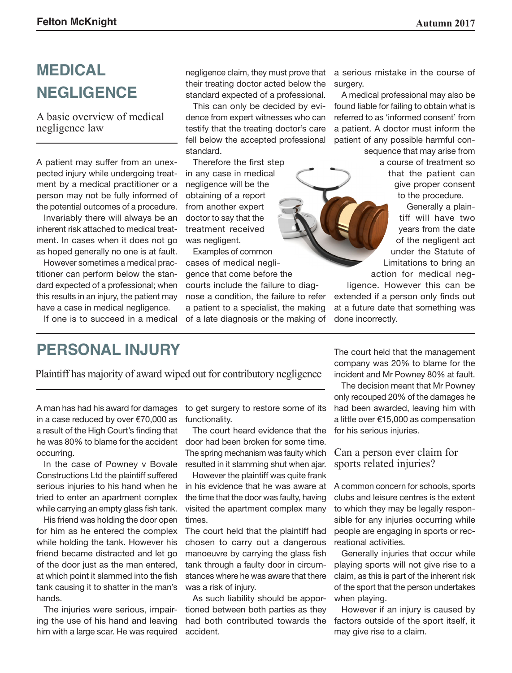# **MEDICAL NEGLIGENCE**

A basic overview of medical negligence law

A patient may suffer from an unexpected injury while undergoing treatment by a medical practitioner or a person may not be fully informed of the potential outcomes of a procedure.

Invariably there will always be an inherent risk attached to medical treatment. In cases when it does not go as hoped generally no one is at fault.

However sometimes a medical practitioner can perform below the standard expected of a professional; when this results in an injury, the patient may have a case in medical negligence.

If one is to succeed in a medical

negligence claim, they must prove that their treating doctor acted below the standard expected of a professional.

This can only be decided by evidence from expert witnesses who can testify that the treating doctor's care fell below the accepted professional standard.

Therefore the first step in any case in medical negligence will be the obtaining of a report from another expert doctor to say that the treatment received was negligent.

Examples of common cases of medical negligence that come before the courts include the failure to diagnose a condition, the failure to refer a patient to a specialist, the making of a late diagnosis or the making of

a serious mistake in the course of surgery.

A medical professional may also be found liable for failing to obtain what is referred to as 'informed consent' from a patient. A doctor must inform the patient of any possible harmful consequence that may arise from

a course of treatment so that the patient can give proper consent to the procedure.

Generally a plaintiff will have two years from the date of the negligent act under the Statute of Limitations to bring an action for medical neg-

ligence. However this can be extended if a person only finds out at a future date that something was done incorrectly.

### **PERSONAL INJURY**

Plaintiff has majority of award wiped out for contributory negligence

A man has had his award for damages in a case reduced by over €70,000 as a result of the High Court's finding that he was 80% to blame for the accident occurring.

In the case of Powney v Bovale Constructions Ltd the plaintiff suffered serious injuries to his hand when he tried to enter an apartment complex while carrying an empty glass fish tank.

His friend was holding the door open for him as he entered the complex while holding the tank. However his friend became distracted and let go of the door just as the man entered, at which point it slammed into the fish tank causing it to shatter in the man's hands.

The injuries were serious, impairing the use of his hand and leaving him with a large scar. He was required to get surgery to restore some of its functionality.

The court heard evidence that the door had been broken for some time. The spring mechanism was faulty which resulted in it slamming shut when ajar.

However the plaintiff was quite frank in his evidence that he was aware at the time that the door was faulty, having visited the apartment complex many times.

The court held that the plaintiff had chosen to carry out a dangerous manoeuvre by carrying the glass fish tank through a faulty door in circumstances where he was aware that there was a risk of injury.

As such liability should be apportioned between both parties as they had both contributed towards the accident.

The court held that the management company was 20% to blame for the incident and Mr Powney 80% at fault.

The decision meant that Mr Powney only recouped 20% of the damages he had been awarded, leaving him with a little over €15,000 as compensation for his serious injuries.

Can a person ever claim for sports related injuries?

A common concern for schools, sports clubs and leisure centres is the extent to which they may be legally responsible for any injuries occurring while people are engaging in sports or recreational activities.

Generally injuries that occur while playing sports will not give rise to a claim, as this is part of the inherent risk of the sport that the person undertakes when playing.

However if an injury is caused by factors outside of the sport itself, it may give rise to a claim.